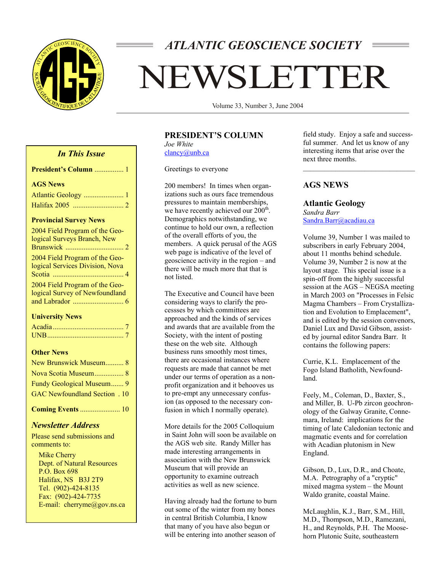

# *ATLANTIC GEOSCIENCE SOCIETY*

# EWSLETTER

Volume 33, Number 3, June 2004

# **PRESIDENT'S COLUMN**

*Joe White*  clancy@unb.ca

Greetings to everyone

200 members! In times when organizations such as ours face tremendous pressures to maintain memberships, we have recently achieved our  $200<sup>th</sup>$ . Demographics notwithstanding, we continue to hold our own, a reflection of the overall efforts of you, the members. A quick perusal of the AGS web page is indicative of the level of geoscience activity in the region – and there will be much more that that is not listed.

The Executive and Council have been considering ways to clarify the processses by which committees are approached and the kinds of services and awards that are available from the Society, with the intent of posting these on the web site. Although business runs smoothly most times, there are occasional instances where requests are made that cannot be met under our terms of operation as a nonprofit organization and it behooves us to pre-empt any unnecessary confusion (as opposed to the necessary confusion in which I normally operate).

More details for the 2005 Colloquium in Saint John will soon be available on the AGS web site. Randy Miller has made interesting arrangements in association with the New Brunswick Museum that will provide an opportunity to examine outreach activities as well as new science.

Having already had the fortune to burn out some of the winter from my bones in central British Columbia, I know that many of you have also begun or will be entering into another season of

field study. Enjoy a safe and successful summer. And let us know of any interesting items that arise over the next three months.

# **AGS NEWS**

**Atlantic Geology**  *Sandra Barr*  Sandra.Barr@acadiau.ca

Volume 39, Number 1 was mailed to subscribers in early February 2004, about 11 months behind schedule. Volume 39, Number 2 is now at the layout stage. This special issue is a spin-off from the highly successful session at the AGS – NEGSA meeting in March 2003 on "Processes in Felsic Magma Chambers – From Crystallization and Evolution to Emplacement", and is edited by the session convenors, Daniel Lux and David Gibson, assisted by journal editor Sandra Barr. It contains the following papers:

Currie, K.L. Emplacement of the Fogo Island Batholith, Newfoundland.

Feely, M., Coleman, D., Baxter, S., and Miller, B. U-Pb zircon geochronology of the Galway Granite, Connemara, Ireland: implications for the timing of late Caledonian tectonic and magmatic events and for correlation with Acadian plutonism in New England.

Gibson, D., Lux, D.R., and Choate, M.A. Petrography of a "cryptic" mixed magma system – the Mount Waldo granite, coastal Maine.

McLaughlin, K.J., Barr, S.M., Hill, M.D., Thompson, M.D., Ramezani, H., and Reynolds, P.H. The Moosehorn Plutonic Suite, southeastern

# *In This Issue*

| President's Column  1           |
|---------------------------------|
| <b>AGS News</b>                 |
| Atlantic Geology  1             |
|                                 |
| <b>Provincial Survey News</b>   |
| 2004 Field Program of the Geo-  |
| logical Surveys Branch, New     |
|                                 |
| 2004 Field Program of the Geo-  |
| logical Services Division, Nova |
|                                 |
| 2004 Field Program of the Geo-  |
| logical Survey of Newfoundland  |
|                                 |
| <b>Hniversity News</b>          |

#### **University News**

#### **Other News**

| New Brunswick Museum 8               |
|--------------------------------------|
|                                      |
| Fundy Geological Museum 9            |
| <b>GAC Newfoundland Section</b> . 10 |
| <b>Coming Events  10</b>             |

# *Newsletter Address*

Please send submissions and comments to:

 Mike Cherry Dept. of Natural Resources P.O. Box 698 Halifax, NS B3J 2T9 Tel. (902)-424-8135 Fax: (902)-424-7735 E-mail: cherryme@gov.ns.ca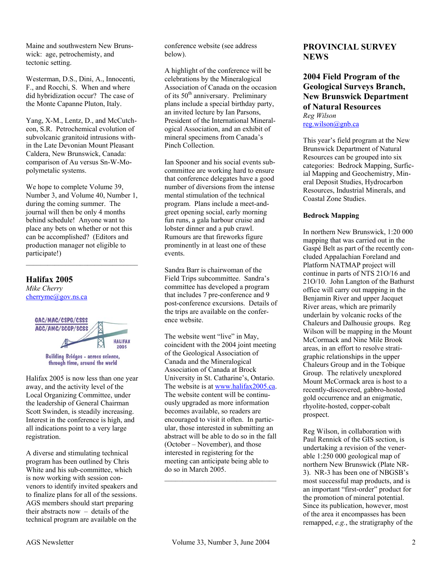Maine and southwestern New Brunswick: age, petrochemisty, and tectonic setting.

Westerman, D.S., Dini, A., Innocenti, F., and Rocchi, S. When and where did hybridization occur? The case of the Monte Capanne Pluton, Italy.

Yang, X-M., Lentz, D., and McCutcheon, S.R. Petrochemical evolution of subvolcanic granitoid intrusions within the Late Devonian Mount Pleasant Caldera, New Brunswick, Canada: comparison of Au versus Sn-W-Mopolymetalic systems.

We hope to complete Volume 39, Number 3, and Volume 40, Number 1, during the coming summer. The journal will then be only 4 months behind schedule! Anyone want to place any bets on whether or not this can be accomplished? (Editors and production manager not eligible to participate!)

## **Halifax 2005**

*Mike Cherry*  cherryme@gov.ns.ca



through time, around the world

Halifax 2005 is now less than one year away, and the activity level of the Local Organizing Committee, under the leadership of General Chairman Scott Swinden, is steadily increasing. Interest in the conference is high, and all indications point to a very large registration.

A diverse and stimulating technical program has been outlined by Chris White and his sub-committee, which is now working with session convenors to identify invited speakers and to finalize plans for all of the sessions. AGS members should start preparing their abstracts now – details of the technical program are available on the

conference website (see address below).

A highlight of the conference will be celebrations by the Mineralogical Association of Canada on the occasion of its  $50<sup>th</sup>$  anniversary. Preliminary plans include a special birthday party, an invited lecture by Ian Parsons, President of the International Mineralogical Association, and an exhibit of mineral specimens from Canada's Pinch Collection.

Ian Spooner and his social events subcommittee are working hard to ensure that conference delegates have a good number of diversions from the intense mental stimulation of the technical program. Plans include a meet-andgreet opening social, early morning fun runs, a gala harbour cruise and lobster dinner and a pub crawl. Rumours are that fireworks figure prominently in at least one of these events.

Sandra Barr is chairwoman of the Field Trips subcommittee. Sandra's committee has developed a program that includes 7 pre-conference and 9 post-conference excursions. Details of the trips are available on the conference website.

The website went "live" in May, coincident with the 2004 joint meeting of the Geological Association of Canada and the Mineralogical Association of Canada at Brock University in St. Catharine's, Ontario. The website is at www.halifax2005.ca. The website content will be continuously upgraded as more information becomes available, so readers are encouraged to visit it often. In particular, those interested in submitting an abstract will be able to do so in the fall (October – November), and those interested in registering for the meeting can anticipate being able to do so in March 2005.

# **PROVINCIAL SURVEY NEWS**

**2004 Field Program of the Geological Surveys Branch, New Brunswick Department of Natural Resources**  *Reg Wilson*  reg.wilson@gnb.ca

This year's field program at the New Brunswick Department of Natural Resources can be grouped into six categories: Bedrock Mapping, Surficial Mapping and Geochemistry, Mineral Deposit Studies, Hydrocarbon Resources, Industrial Minerals, and Coastal Zone Studies.

#### **Bedrock Mapping**

In northern New Brunswick, 1:20 000 mapping that was carried out in the Gaspé Belt as part of the recently concluded Appalachian Foreland and Platform NATMAP project will continue in parts of NTS 21O/16 and 21O/10. John Langton of the Bathurst office will carry out mapping in the Benjamin River and upper Jacquet River areas, which are primarily underlain by volcanic rocks of the Chaleurs and Dalhousie groups. Reg Wilson will be mapping in the Mount McCormack and Nine Mile Brook areas, in an effort to resolve stratigraphic relationships in the upper Chaleurs Group and in the Tobique Group. The relatively unexplored Mount McCormack area is host to a recently-discovered, gabbro-hosted gold occurrence and an enigmatic, rhyolite-hosted, copper-cobalt prospect.

Reg Wilson, in collaboration with Paul Rennick of the GIS section, is undertaking a revision of the venerable 1:250 000 geological map of northern New Brunswick (Plate NR-3). NR-3 has been one of NBGSB's most successful map products, and is an important "first-order" product for the promotion of mineral potential. Since its publication, however, most of the area it encompasses has been remapped, *e.g.*, the stratigraphy of the

 $\mathcal{L}_\text{max}$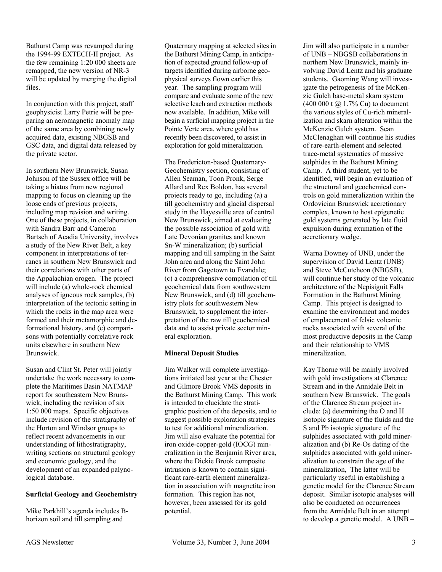Bathurst Camp was revamped during the 1994-99 EXTECH-II project. As the few remaining 1:20 000 sheets are remapped, the new version of NR-3 will be updated by merging the digital files.

In conjunction with this project, staff geophysicist Larry Petrie will be preparing an aeromagnetic anomaly map of the same area by combining newly acquired data, existing NBGSB and GSC data, and digital data released by the private sector.

In southern New Brunswick, Susan Johnson of the Sussex office will be taking a hiatus from new regional mapping to focus on cleaning up the loose ends of previous projects, including map revision and writing. One of these projects, in collaboration with Sandra Barr and Cameron Bartsch of Acadia University, involves a study of the New River Belt, a key component in interpretations of terranes in southern New Brunswick and their correlations with other parts of the Appalachian orogen. The project will include (a) whole-rock chemical analyses of igneous rock samples, (b) interpretation of the tectonic setting in which the rocks in the map area were formed and their metamorphic and deformational history, and (c) comparisons with potentially correlative rock units elsewhere in southern New Brunswick.

Susan and Clint St. Peter will jointly undertake the work necessary to complete the Maritimes Basin NATMAP report for southeastern New Brunswick, including the revision of six 1:50 000 maps. Specific objectives include revision of the stratigraphy of the Horton and Windsor groups to reflect recent advancements in our understanding of lithostratigraphy, writing sections on structural geology and economic geology, and the development of an expanded palynological database.

#### **Surficial Geology and Geochemistry**

Mike Parkhill's agenda includes Bhorizon soil and till sampling and

Quaternary mapping at selected sites in the Bathurst Mining Camp, in anticipation of expected ground follow-up of targets identified during airborne geophysical surveys flown earlier this year. The sampling program will compare and evaluate some of the new selective leach and extraction methods now available. In addition, Mike will begin a surficial mapping project in the Pointe Verte area, where gold has recently been discovered, to assist in exploration for gold mineralization.

The Fredericton-based Quaternary-Geochemistry section, consisting of Allen Seaman, Toon Pronk, Serge Allard and Rex Boldon, has several projects ready to go, including (a) a till geochemistry and glacial dispersal study in the Hayesville area of central New Brunswick, aimed at evaluating the possible association of gold with Late Devonian granites and known Sn-W mineralization; (b) surficial mapping and till sampling in the Saint John area and along the Saint John River from Gagetown to Evandale; (c) a comprehensive compilation of till geochemical data from southwestern New Brunswick, and (d) till geochemistry plots for southwestern New Brunswick, to supplement the interpretation of the raw till geochemical data and to assist private sector mineral exploration.

#### **Mineral Deposit Studies**

Jim Walker will complete investigations initiated last year at the Chester and Gilmore Brook VMS deposits in the Bathurst Mining Camp. This work is intended to elucidate the stratigraphic position of the deposits, and to suggest possible exploration strategies to test for additional mineralization. Jim will also evaluate the potential for iron oxide-copper-gold (IOCG) mineralization in the Benjamin River area, where the Dickie Brook composite intrusion is known to contain significant rare-earth element mineralization in association with magnetite iron formation. This region has not, however, been assessed for its gold potential.

Jim will also participate in a number of UNB – NBGSB collaborations in northern New Brunswick, mainly involving David Lentz and his graduate students. Gaoming Wang will investigate the petrogenesis of the McKenzie Gulch base-metal skarn system  $(400\ 000\ t\ (a)\ 1.7\% \ Cu)$  to document the various styles of Cu-rich mineralization and skarn alteration within the McKenzie Gulch system. Sean McClenaghan will continue his studies of rare-earth-element and selected trace-metal systematics of massive sulphides in the Bathurst Mining Camp. A third student, yet to be identified, will begin an evaluation of the structural and geochemical controls on gold mineralization within the Ordovician Brunswick accretionary complex, known to host epigenetic gold systems generated by late fluid expulsion during exumation of the accretionary wedge.

Warna Downey of UNB, under the supervision of David Lentz (UNB) and Steve McCutcheon (NBGSB), will continue her study of the volcanic architecture of the Nepisiguit Falls Formation in the Bathurst Mining Camp. This project is designed to examine the environment and modes of emplacement of felsic volcanic rocks associated with several of the most productive deposits in the Camp and their relationship to VMS mineralization.

Kay Thorne will be mainly involved with gold investigations at Clarence Stream and in the Annidale Belt in southern New Brunswick. The goals of the Clarence Stream project include: (a) determining the O and H isotopic signature of the fluids and the S and Pb isotopic signature of the sulphides associated with gold mineralization and (b) Re-Os dating of the sulphides associated with gold mineralization to constrain the age of the mineralization, The latter will be particularly useful in establishing a genetic model for the Clarence Stream deposit. Similar isotopic analyses will also be conducted on occurrences from the Annidale Belt in an attempt to develop a genetic model. A UNB –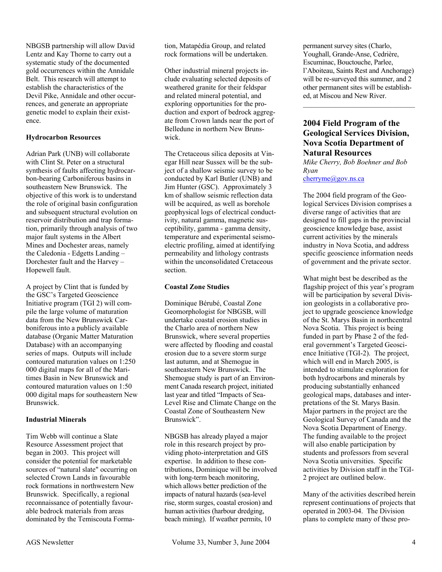NBGSB partnership will allow David Lentz and Kay Thorne to carry out a systematic study of the documented gold occurrences within the Annidale Belt. This research will attempt to establish the characteristics of the Devil Pike, Annidale and other occurrences, and generate an appropriate genetic model to explain their existence.

#### **Hydrocarbon Resources**

Adrian Park (UNB) will collaborate with Clint St. Peter on a structural synthesis of faults affecting hydrocarbon-bearing Carboniferous basins in southeastern New Brunswick. The objective of this work is to understand the role of original basin configuration and subsequent structural evolution on reservoir distribution and trap formation, primarily through analysis of two major fault systems in the Albert Mines and Dochester areas, namely the Caledonia - Edgetts Landing – Dorchester fault and the Harvey – Hopewell fault.

A project by Clint that is funded by the GSC's Targeted Geoscience Initiative program (TGI 2) will compile the large volume of maturation data from the New Brunswick Carboniferous into a publicly available database (Organic Matter Maturation Database) with an accompanying series of maps. Outputs will include contoured maturation values on 1:250 000 digital maps for all of the Maritimes Basin in New Brunswick and contoured maturation values on 1:50 000 digital maps for southeastern New Brunswick.

#### **Industrial Minerals**

Tim Webb will continue a Slate Resource Assessment project that began in 2003. This project will consider the potential for marketable sources of "natural slate" occurring on selected Crown Lands in favourable rock formations in northwestern New Brunswick. Specifically, a regional reconnaissance of potentially favourable bedrock materials from areas dominated by the Temiscouta Formation, Matapédia Group, and related rock formations will be undertaken.

Other industrial mineral projects include evaluating selected deposits of weathered granite for their feldspar and related mineral potential, and exploring opportunities for the production and export of bedrock aggregate from Crown lands near the port of Belledune in northern New Brunswick.

The Cretaceous silica deposits at Vinegar Hill near Sussex will be the subject of a shallow seismic survey to be conducted by Karl Butler (UNB) and Jim Hunter (GSC). Approximately 3 km of shallow seismic reflection data will be acquired, as well as borehole geophysical logs of electrical conductivity, natural gamma, magnetic susceptibility, gamma - gamma density, temperature and experimental seismoelectric profiling, aimed at identifying permeability and lithology contrasts within the unconsolidated Cretaceous section.

#### **Coastal Zone Studies**

Dominique Bérubé, Coastal Zone Geomorphologist for NBGSB, will undertake coastal erosion studies in the Charlo area of northern New Brunswick, where several properties were affected by flooding and coastal erosion due to a severe storm surge last autumn, and at Shemogue in southeastern New Brunswick. The Shemogue study is part of an Environment Canada research project, initiated last year and titled "Impacts of Sea-Level Rise and Climate Change on the Coastal Zone of Southeastern New Brunswick".

NBGSB has already played a major role in this research project by providing photo-interpretation and GIS expertise. In addition to these contributions, Dominique will be involved with long-term beach monitoring, which allows better prediction of the impacts of natural hazards (sea-level rise, storm surges, coastal erosion) and human activities (harbour dredging, beach mining). If weather permits, 10

permanent survey sites (Charlo, Youghall, Grande-Anse, Cedrière, Escuminac, Bouctouche, Parlee, l'Aboiteau, Saints Rest and Anchorage) will be re-surveyed this summer, and 2 other permanent sites will be established, at Miscou and New River.

 $\mathcal{L}_\text{max}$ 

# **2004 Field Program of the Geological Services Division, Nova Scotia Department of Natural Resources**

*Mike Cherry, Bob Boehner and Bob Ryan*  cherryme@gov.ns.ca

The 2004 field program of the Geological Services Division comprises a diverse range of activities that are designed to fill gaps in the provincial geoscience knowledge base, assist current activities by the minerals industry in Nova Scotia, and address specific geoscience information needs of government and the private sector.

What might best be described as the flagship project of this year's program will be participation by several Division geologists in a collaborative project to upgrade geoscience knowledge of the St. Marys Basin in northcentral Nova Scotia. This project is being funded in part by Phase 2 of the federal government's Targeted Geoscience Initiative (TGI-2). The project, which will end in March 2005, is intended to stimulate exploration for both hydrocarbons and minerals by producing substantially enhanced geological maps, databases and interpretations of the St. Marys Basin. Major partners in the project are the Geological Survey of Canada and the Nova Scotia Department of Energy. The funding available to the project will also enable participation by students and professors from several Nova Scotia universities. Specific activities by Division staff in the TGI-2 project are outlined below.

Many of the activities described herein represent continuations of projects that operated in 2003-04. The Division plans to complete many of these pro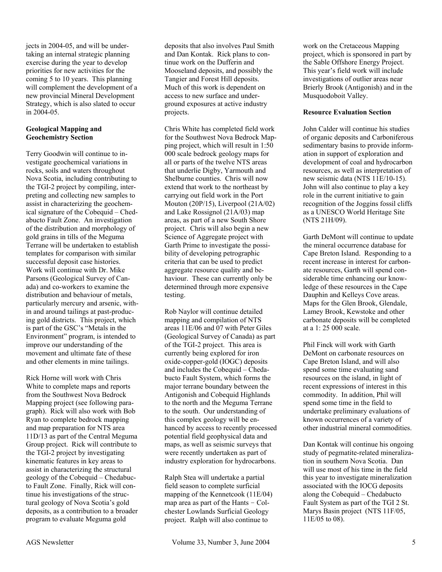jects in 2004-05, and will be undertaking an internal strategic planning exercise during the year to develop priorities for new activities for the coming 5 to 10 years. This planning will complement the development of a new provincial Mineral Development Strategy, which is also slated to occur in 2004-05.

#### **Geological Mapping and Geochemistry Section**

Terry Goodwin will continue to investigate geochemical variations in rocks, soils and waters throughout Nova Scotia, including contributing to the TGI-2 project by compiling, interpreting and collecting new samples to assist in characterizing the geochemical signature of the Cobequid – Chedabucto Fault Zone. An investigation of the distribution and morphology of gold grains in tills of the Meguma Terrane will be undertaken to establish templates for comparison with similar successful deposit case histories. Work will continue with Dr. Mike Parsons (Geological Survey of Canada) and co-workers to examine the distribution and behaviour of metals, particularly mercury and arsenic, within and around tailings at past-producing gold districts. This project, which is part of the GSC's "Metals in the Environment" program, is intended to improve our understanding of the movement and ultimate fate of these and other elements in mine tailings.

Rick Horne will work with Chris White to complete maps and reports from the Southwest Nova Bedrock Mapping project (see following paragraph). Rick will also work with Bob Ryan to complete bedrock mapping and map preparation for NTS area 11D/13 as part of the Central Meguma Group project. Rick will contribute to the TGI-2 project by investigating kinematic features in key areas to assist in characterizing the structural geology of the Cobequid – Chedabucto Fault Zone. Finally, Rick will continue his investigations of the structural geology of Nova Scotia's gold deposits, as a contribution to a broader program to evaluate Meguma gold

deposits that also involves Paul Smith and Dan Kontak. Rick plans to continue work on the Dufferin and Mooseland deposits, and possibly the Tangier and Forest Hill deposits. Much of this work is dependent on access to new surface and underground exposures at active industry projects.

Chris White has completed field work for the Southwest Nova Bedrock Mapping project, which will result in 1:50 000 scale bedrock geology maps for all or parts of the twelve NTS areas that underlie Digby, Yarmouth and Shelburne counties. Chris will now extend that work to the northeast by carrying out field work in the Port Mouton (20P/15), Liverpool (21A/02) and Lake Rossignol (21A/03) map areas, as part of a new South Shore project. Chris will also begin a new Science of Aggregate project with Garth Prime to investigate the possibility of developing petrographic criteria that can be used to predict aggregate resource quality and behaviour. These can currently only be determined through more expensive testing.

Rob Naylor will continue detailed mapping and compilation of NTS areas 11E/06 and 07 with Peter Giles (Geological Survey of Canada) as part of the TGI-2 project. This area is currently being explored for iron oxide-copper-gold (IOGC) deposits and includes the Cobequid – Chedabucto Fault System, which forms the major terrane boundary between the Antigonish and Cobequid Highlands to the north and the Meguma Terrane to the south. Our understanding of this complex geology will be enhanced by access to recently processed potential field geophysical data and maps, as well as seismic surveys that were recently undertaken as part of industry exploration for hydrocarbons.

Ralph Stea will undertake a partial field season to complete surficial mapping of the Kennetcook (11E/04) map area as part of the Hants – Colchester Lowlands Surficial Geology project. Ralph will also continue to

work on the Cretaceous Mapping project, which is sponsored in part by the Sable Offshore Energy Project. This year's field work will include investigations of outlier areas near Brierly Brook (Antigonish) and in the Musquodoboit Valley.

#### **Resource Evaluation Section**

John Calder will continue his studies of organic deposits and Carboniferous sedimentary basins to provide information in support of exploration and development of coal and hydrocarbon resources, as well as interpretation of new seismic data (NTS 11E/10-15). John will also continue to play a key role in the current initiative to gain recognition of the Joggins fossil cliffs as a UNESCO World Heritage Site (NTS 21H/09).

Garth DeMont will continue to update the mineral occurrence database for Cape Breton Island. Responding to a recent increase in interest for carbonate resources, Garth will spend considerable time enhancing our knowledge of these resources in the Cape Dauphin and Kelleys Cove areas. Maps for the Glen Brook, Glendale, Lamey Brook, Kewstoke and other carbonate deposits will be completed at a 1: 25 000 scale.

Phil Finck will work with Garth DeMont on carbonate resources on Cape Breton Island, and will also spend some time evaluating sand resources on the island, in light of recent expressions of interest in this commodity. In addition, Phil will spend some time in the field to undertake preliminary evaluations of known occurrences of a variety of other industrial mineral commodities.

Dan Kontak will continue his ongoing study of pegmatite-related mineralization in southern Nova Scotia. Dan will use most of his time in the field this year to investigate mineralization associated with the IOCG deposits along the Cobequid – Chedabucto Fault System as part of the TGI 2 St. Marys Basin project (NTS 11F/05, 11E/05 to 08).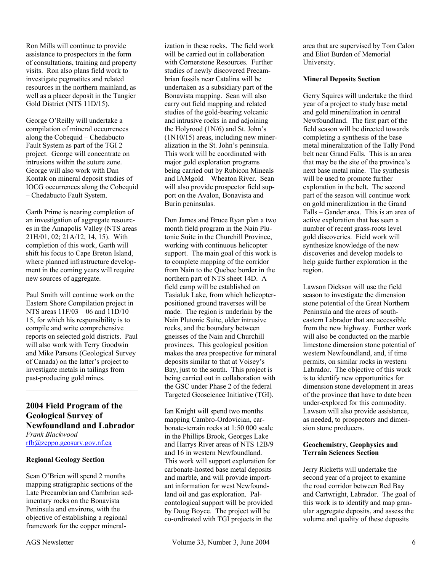Ron Mills will continue to provide assistance to prospectors in the form of consultations, training and property visits. Ron also plans field work to investigate pegmatites and related resources in the northern mainland, as well as a placer deposit in the Tangier Gold District (NTS 11D/15).

George O'Reilly will undertake a compilation of mineral occurrences along the Cobequid – Chedabucto Fault System as part of the TGI 2 project. George will concentrate on intrusions within the suture zone. George will also work with Dan Kontak on mineral deposit studies of IOCG occurrences along the Cobequid – Chedabucto Fault System.

Garth Prime is nearing completion of an investigation of aggregate resources in the Annapolis Valley (NTS areas 21H/01, 02; 21A/12, 14, 15). With completion of this work, Garth will shift his focus to Cape Breton Island, where planned infrastructure development in the coming years will require new sources of aggregate.

Paul Smith will continue work on the Eastern Shore Compilation project in NTS areas 11F/03 – 06 and 11D/10 – 15, for which his responsibility is to compile and write comprehensive reports on selected gold districts. Paul will also work with Terry Goodwin and Mike Parsons (Geological Survey of Canada) on the latter's project to investigate metals in tailings from past-producing gold mines.

# **2004 Field Program of the Geological Survey of Newfoundland and Labrador**

*Frank Blackwood*  rfb@zeppo.geosurv.gov.nf.ca

#### **Regional Geology Section**

Sean O'Brien will spend 2 months mapping stratigraphic sections of the Late Precambrian and Cambrian sedimentary rocks on the Bonavista Peninsula and environs, with the objective of establishing a regional framework for the copper mineralization in these rocks. The field work will be carried out in collaboration with Cornerstone Resources. Further studies of newly discovered Precambrian fossils near Catalina will be undertaken as a subsidiary part of the Bonavista mapping. Sean will also carry out field mapping and related studies of the gold-bearing volcanic and intrusive rocks in and adjoining the Holyrood (1N/6) and St. John's (1N10/15) areas, including new mineralization in the St. John's peninsula. This work will be coordinated with major gold exploration programs being carried out by Rubicon Mineals and IAMgold – Wheaton River. Sean will also provide prospector field support on the Avalon, Bonavista and Burin peninsulas.

Don James and Bruce Ryan plan a two month field program in the Nain Plutonic Suite in the Churchill Province, working with continuous helicopter support. The main goal of this work is to complete mapping of the corridor from Nain to the Quebec border in the northern part of NTS sheet 14D. A field camp will be established on Tasialuk Lake, from which helicopterpositioned ground traverses will be made. The region is underlain by the Nain Plutonic Suite, older intrusive rocks, and the boundary between gneisses of the Nain and Churchill provinces. This geological position makes the area prospective for mineral deposits similar to that at Voisey's Bay, just to the south. This project is being carried out in collaboration with the GSC under Phase 2 of the federal Targeted Geoscience Initiative (TGI).

Ian Knight will spend two months mapping Cambro-Ordovician, carbonate-terrain rocks at 1:50 000 scale in the Phillips Brook, Georges Lake and Harrys River areas of NTS 12B/9 and 16 in western Newfoundland. This work will support exploration for carbonate-hosted base metal deposits and marble, and will provide important information for west Newfoundland oil and gas exploration. Paleontological support will be provided by Doug Boyce. The project will be co-ordinated with TGI projects in the

area that are supervised by Tom Calon and Eliot Burden of Memorial University.

#### **Mineral Deposits Section**

Gerry Squires will undertake the third year of a project to study base metal and gold mineralization in central Newfoundland. The first part of the field season will be directed towards completing a synthesis of the base metal mineralization of the Tally Pond belt near Grand Falls. This is an area that may be the site of the province's next base metal mine. The synthesis will be used to promote further exploration in the belt. The second part of the season will continue work on gold mineralization in the Grand Falls – Gander area. This is an area of active exploration that has seen a number of recent grass-roots level gold discoveries. Field work will synthesize knowledge of the new discoveries and develop models to help guide further exploration in the region.

Lawson Dickson will use the field season to investigate the dimension stone potential of the Great Northern Peninsula and the areas of southeastern Labrador that are accessible from the new highway. Further work will also be conducted on the marble – limestone dimension stone potential of western Newfoundland, and, if time permits, on similar rocks in western Labrador. The objective of this work is to identify new opportunities for dimension stone development in areas of the province that have to date been under-explored for this commodity. Lawson will also provide assistance, as needed, to prospectors and dimension stone producers.

#### **Geochemistry, Geophysics and Terrain Sciences Section**

Jerry Ricketts will undertake the second year of a project to examine the road corridor between Red Bay and Cartwright, Labrador. The goal of this work is to identify and map granular aggregate deposits, and assess the volume and quality of these deposits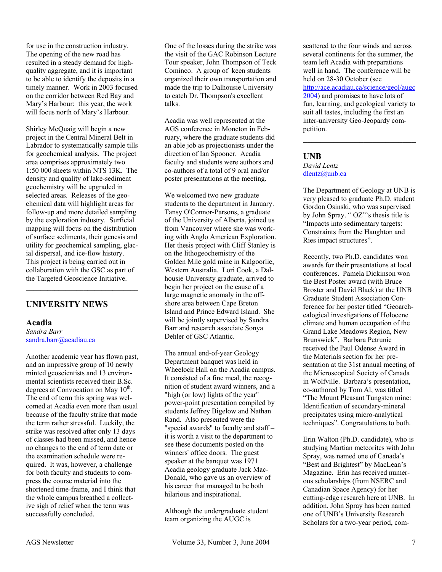for use in the construction industry. The opening of the new road has resulted in a steady demand for highquality aggregate, and it is important to be able to identify the deposits in a timely manner. Work in 2003 focused on the corridor between Red Bay and Mary's Harbour: this year, the work will focus north of Mary's Harbour.

Shirley McQuaig will begin a new project in the Central Mineral Belt in Labrador to systematically sample tills for geochemical analysis. The project area comprises approximately two 1:50 000 sheets within NTS 13K. The density and quality of lake-sediment geochemistry will be upgraded in selected areas. Releases of the geochemical data will highlight areas for follow-up and more detailed sampling by the exploration industry. Surficial mapping will focus on the distribution of surface sediments, their genesis and utility for geochemical sampling, glacial dispersal, and ice-flow history. This project is being carried out in collaboration with the GSC as part of the Targeted Geoscience Initiative.

# **UNIVERSITY NEWS**

#### **Acadia**

*Sandra Barr*  sandra.barr@acadiau.ca

Another academic year has flown past, and an impressive group of 10 newly minted geoscientists and 13 environmental scientists received their B.Sc. degrees at Convocation on May  $10^{th}$ . The end of term this spring was welcomed at Acadia even more than usual because of the faculty strike that made the term rather stressful. Luckily, the strike was resolved after only 13 days of classes had been missed, and hence no changes to the end of term date or the examination schedule were required. It was, however, a challenge for both faculty and students to compress the course material into the shortened time-frame, and I think that the whole campus breathed a collective sigh of relief when the term was successfully concluded.

One of the losses during the strike was the visit of the GAC Robinson Lecture Tour speaker, John Thompson of Teck Cominco. A group of keen students organized their own transportation and made the trip to Dalhousie University to catch Dr. Thompson's excellent talks.

Acadia was well represented at the AGS conference in Moncton in February, where the graduate students did an able job as projectionists under the direction of Ian Spooner. Acadia faculty and students were authors and co-authors of a total of 9 oral and/or poster presentations at the meeting.

We welcomed two new graduate students to the department in January. Tansy O'Connor-Parsons, a graduate of the University of Alberta, joined us from Vancouver where she was working with Anglo American Exploration. Her thesis project with Cliff Stanley is on the lithogeochemistry of the Golden Mile gold mine in Kalgoorlie, Western Australia. Lori Cook, a Dalhousie University graduate, arrived to begin her project on the cause of a large magnetic anomaly in the offshore area between Cape Breton Island and Prince Edward Island. She will be jointly supervised by Sandra Barr and research associate Sonya Dehler of GSC Atlantic.

The annual end-of-year Geology Department banquet was held in Wheelock Hall on the Acadia campus. It consisted of a fine meal, the recognition of student award winners, and a "high (or low) lights of the year" power-point presentation compiled by students Jeffrey Bigelow and Nathan Rand. Also presented were the "special awards" to faculty and staff – it is worth a visit to the department to see these documents posted on the winners' office doors. The guest speaker at the banquet was 1971 Acadia geology graduate Jack Mac-Donald, who gave us an overview of his career that managed to be both hilarious and inspirational.

Although the undergraduate student team organizing the AUGC is

scattered to the four winds and across several continents for the summer, the team left Acadia with preparations well in hand. The conference will be held on 28-30 October (see

http://ace.acadiau.ca/science/geol/augc 2004) and promises to have lots of fun, learning, and geological variety to suit all tastes, including the first an inter-university Geo-Jeopardy competition.

 $\mathcal{L}_\text{max}$  , where  $\mathcal{L}_\text{max}$  and  $\mathcal{L}_\text{max}$ 

#### **UNB**

#### *David Lentz*  dlentz@unb.ca

The Department of Geology at UNB is very pleased to graduate Ph.D. student Gordon Osinski, who was supervised by John Spray. " OZ"'s thesis title is "Impacts into sedimentary targets: Constraints from the Haughton and Ries impact structures".

Recently, two Ph.D. candidates won awards for their presentations at local conferences. Pamela Dickinson won the Best Poster award (with Bruce Broster and David Black) at the UNB Graduate Student Association Conference for her poster titled "Geoarchealogical investigations of Holocene climate and human occupation of the Grand Lake Meadows Region, New Brunswick". Barbara Petrunic received the Paul Odense Award in the Materials section for her presentation at the 31st annual meeting of the Microscopical Society of Canada in Wolfville. Barbara's presentation, co-authored by Tom Al, was titled "The Mount Pleasant Tungsten mine: Identification of secondary-mineral precipitates using micro-analytical techniques". Congratulations to both.

Erin Walton (Ph.D. candidate), who is studying Martian meteorites with John Spray, was named one of Canada's "Best and Brightest" by MacLean's Magazine. Erin has received numerous scholarships (from NSERC and Canadian Space Agency) for her cutting-edge research here at UNB. In addition, John Spray has been named one of UNB's University Research Scholars for a two-year period, com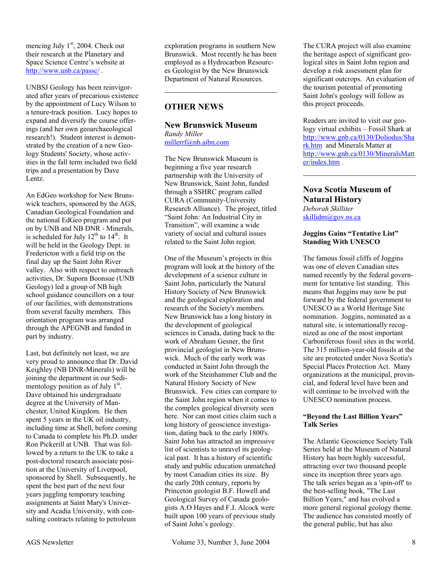mencing July  $1<sup>st</sup>$ , 2004. Check out their research at the Planetary and Space Science Centre's website at http://www.unb.ca/passc/ .

UNBSJ Geology has been reinvigorated after years of precarious existence by the appointment of Lucy Wilson to a tenure-track position. Lucy hopes to expand and diversify the course offerings (and her own geoarchaeological research!). Student interest is demonstrated by the creation of a new Geology Students' Society, whose activities in the fall term included two field trips and a presentation by Dave Lentz.

An EdGeo workshop for New Brunswick teachers, sponsored by the AGS, Canadian Geological Foundation and the national EdGeo program and put on by UNB and NB DNR - Minerals, is scheduled for July  $12<sup>th</sup>$  to  $14<sup>th</sup>$ . It will be held in the Geology Dept. in Fredericton with a field trip on the final day up the Saint John River valley. Also with respect to outreach activities, Dr. Suporn Boonsue (UNB Geology) led a group of NB high school guidance councillors on a tour of our facilities, with demonstrations from several faculty members. This orientation program was arranged through the APEGNB and funded in part by industry.

Last, but definitely not least, we are very proud to announce that Dr. David Keighley (NB DNR-Minerals) will be joining the department in our Sedimentology position as of July 1<sup>st</sup>. Dave obtained his undergraduate degree at the University of Manchester, United Kingdom. He then spent 5 years in the UK oil industry, including time at Shell, before coming to Canada to complete his Ph.D. under Ron Pickerill at UNB. That was followed by a return to the UK to take a post-doctoral research associate position at the University of Liverpool, sponsored by Shell. Subsequently, he spent the best part of the next four years juggling temporary teaching assignments at Saint Mary's University and Acadia University, with consulting contracts relating to petroleum

exploration programs in southern New Brunswick. Most recently he has been employed as a Hydrocarbon Resources Geologist by the New Brunswick Department of Natural Resources.

 $\mathcal{L}_\text{max}$  , where  $\mathcal{L}_\text{max}$  and  $\mathcal{L}_\text{max}$ 

# **OTHER NEWS**

# **New Brunswick Museum**

*Randy Miller*  millerrf@nb.aibn.com

The New Brunswick Museum is beginning a five year research partnership with the University of New Brunswick, Saint John, funded through a SSHRC program called CURA (Community-University Research Alliance). The project, titled "Saint John: An Industrial City in Transition", will examine a wide variety of social and cultural issues related to the Saint John region.

One of the Museum's projects in this program will look at the history of the development of a science culture in Saint John, particularly the Natural History Society of New Brunswick and the geological exploration and research of the Society's members. New Brunswick has a long history in the development of geological sciences in Canada, dating back to the work of Abraham Gesner, the first provincial geologist in New Brunswick. Much of the early work was conducted in Saint John through the work of the Steinhammer Club and the Natural History Society of New Brunswick. Few cities can compare to the Saint John region when it comes to the complex geological diversity seen here. Nor can most cities claim such a long history of geoscience investigation, dating back to the early 1800's. Saint John has attracted an impressive list of scientists to unravel its geological past. It has a history of scientific study and public education unmatched by most Canadian cities its size. By the early 20th century, reports by Princeton geologist B.F. Howell and Geological Survey of Canada geologists A.O Hayes and F.J. Alcock were built upon 100 years of previous study of Saint John's geology.

The CURA project will also examine the heritage aspect of significant geological sites in Saint John region and develop a risk assessment plan for significant outcrops. An evaluation of the tourism potential of promoting Saint John's geology will follow as this project proceeds.

Readers are invited to visit our geology virtual exhibits – Fossil Shark at http://www.gnb.ca/0130/Doliodus/Sha rk.htm and Minerals Matter at http://www.gnb.ca/0130/MineralsMatt er/index.htm .

 $\mathcal{L}_\text{max}$  , where  $\mathcal{L}_\text{max}$  and  $\mathcal{L}_\text{max}$ 

#### **Nova Scotia Museum of Natural History**  *Deborah Skilliter*  skillidm@gov.ns.ca

#### **Joggins Gains "Tentative List" Standing With UNESCO**

The famous fossil cliffs of Joggins was one of eleven Canadian sites named recently by the federal government for tentative list standing. This means that Joggins may now be put forward by the federal government to UNESCO as a World Heritage Site nomination. Joggins, nominated as a natural site, is internationally recognized as one of the most important Carboniferous fossil sites in the world. The 315 million-year-old fossils at the site are protected under Nova Scotia's Special Places Protection Act. Many organizations at the municipal, provincial, and federal level have been and will continue to be involved with the UNESCO nomination process.

#### **"Beyond the Last Billion Years" Talk Series**

The Atlantic Geoscience Society Talk Series held at the Museum of Natural History has been highly successful, attracting over two thousand people since its inception three years ago. The talk series began as a 'spin-off' to the best-selling book, "The Last Billion Years," and has evolved a more general regional geology theme. The audience has consisted mostly of the general public, but has also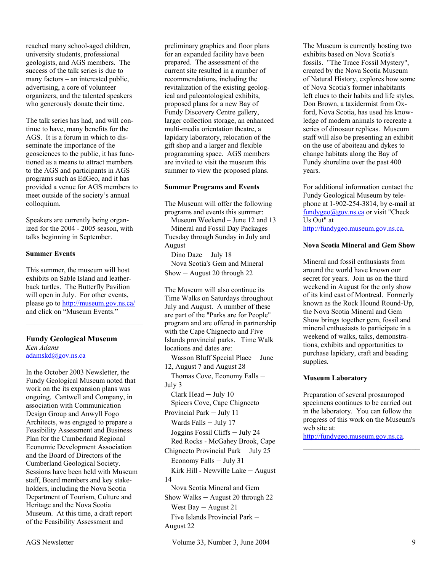reached many school-aged children, university students, professional geologists, and AGS members. The success of the talk series is due to many factors – an interested public, advertising, a core of volunteer organizers, and the talented speakers who generously donate their time.

The talk series has had, and will continue to have, many benefits for the AGS. It is a forum in which to disseminate the importance of the geosciences to the public, it has functioned as a means to attract members to the AGS and participants in AGS programs such as EdGeo, and it has provided a venue for AGS members to meet outside of the society's annual colloquium.

Speakers are currently being organized for the 2004 - 2005 season, with talks beginning in September.

#### **Summer Events**

This summer, the museum will host exhibits on Sable Island and leatherback turtles. The Butterfly Pavilion will open in July. For other events, please go to http://museum.gov.ns.ca/ and click on "Museum Events."

 $\mathcal{L}_\text{max}$  , where  $\mathcal{L}_\text{max}$  and  $\mathcal{L}_\text{max}$ 

#### **Fundy Geological Museum**

*Ken Adams*  adamskd@gov.ns.ca

In the October 2003 Newsletter, the Fundy Geological Museum noted that work on the its expansion plans was ongoing. Cantwell and Company, in association with Communication Design Group and Anwyll Fogo Architects, was engaged to prepare a Feasibility Assessment and Business Plan for the Cumberland Regional Economic Development Association and the Board of Directors of the Cumberland Geological Society. Sessions have been held with Museum staff, Board members and key stakeholders, including the Nova Scotia Department of Tourism, Culture and Heritage and the Nova Scotia Museum. At this time, a draft report of the Feasibility Assessment and

preliminary graphics and floor plans for an expanded facility have been prepared. The assessment of the current site resulted in a number of recommendations, including the revitalization of the existing geological and paleontological exhibits, proposed plans for a new Bay of Fundy Discovery Centre gallery, larger collection storage, an enhanced multi-media orientation theatre, a lapidary laboratory, relocation of the gift shop and a larger and flexible programming space. AGS members are invited to visit the museum this summer to view the proposed plans.

#### **Summer Programs and Events**

The Museum will offer the following programs and events this summer:

Museum Weekend – June 12 and 13 Mineral and Fossil Day Packages – Tuesday through Sunday in July and August

Dino Daze – July 18 Nova Scotia's Gem and Mineral Show – August 20 through 22

The Museum will also continue its Time Walks on Saturdays throughout July and August. A number of these are part of the "Parks are for People" program and are offered in partnership with the Cape Chignecto and Five Islands provincial parks. Time Walk locations and dates are:

Wasson Bluff Special Place – June 12, August 7 and August 28 Thomas Cove, Economy Falls – July 3 Clark Head – July 10 Spicers Cove, Cape Chignecto Provincial Park – July 11 Wards Falls – July 17 Joggins Fossil Cliffs – July 24 Red Rocks - McGahey Brook, Cape Chignecto Provincial Park – July 25 Economy Falls – July 31 Kirk Hill - Newville Lake – August 14 Nova Scotia Mineral and Gem Show Walks – August 20 through 22 West Bay – August 21

Five Islands Provincial Park – August 22

The Museum is currently hosting two exhibits based on Nova Scotia's fossils. "The Trace Fossil Mystery", created by the Nova Scotia Museum of Natural History, explores how some of Nova Scotia's former inhabitants left clues to their habits and life styles. Don Brown, a taxidermist from Oxford, Nova Scotia, has used his knowledge of modern animals to recreate a series of dinosaur replicas. Museum staff will also be presenting an exhibit on the use of aboiteau and dykes to change habitats along the Bay of Fundy shoreline over the past 400 years.

For additional information contact the Fundy Geological Museum by telephone at 1-902-254-3814, by e-mail at fundygeo@gov.ns.ca or visit "Check Us Out" at http://fundygeo.museum.gov.ns.ca.

#### **Nova Scotia Mineral and Gem Show**

Mineral and fossil enthusiasts from around the world have known our secret for years. Join us on the third weekend in August for the only show of its kind east of Montreal. Formerly known as the Rock Hound Round-Up, the Nova Scotia Mineral and Gem Show brings together gem, fossil and mineral enthusiasts to participate in a weekend of walks, talks, demonstrations, exhibits and opportunities to purchase lapidary, craft and beading supplies.

#### **Museum Laboratory**

Preparation of several prosauropod specimens continues to be carried out in the laboratory. You can follow the progress of this work on the Museum's web site at:

 $\mathcal{L}_\text{max}$  , where  $\mathcal{L}_\text{max}$  and  $\mathcal{L}_\text{max}$ 

http://fundygeo.museum.gov.ns.ca.